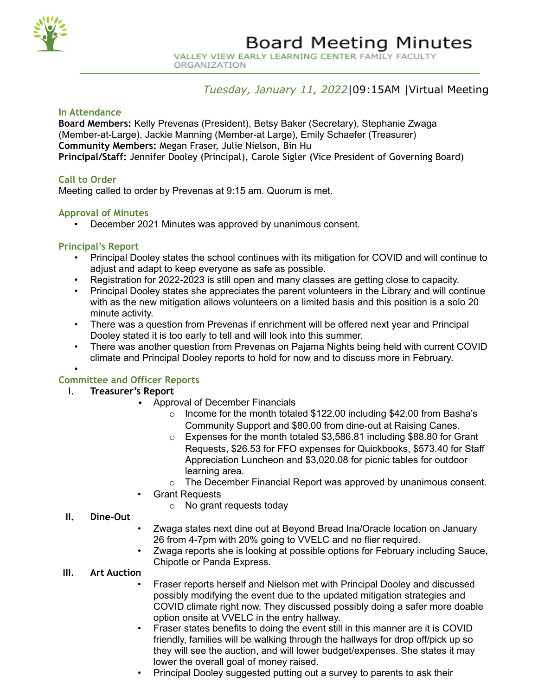

ORGANIZATION

## *Tuesday, January 11, 2022*|09:15AM |Virtual Meeting

### **In Attendance**

**Board Members:** Kelly Prevenas (President), Betsy Baker (Secretary), Stephanie Zwaga (Member-at-Large), Jackie Manning (Member-at Large), Emily Schaefer (Treasurer) **Community Members:** Megan Fraser, Julie Nielson, Bin Hu **Principal/Staff:** Jennifer Dooley (Principal), Carole Sigler (Vice President of Governing Board)

## **Call to Order**

Meeting called to order by Prevenas at 9:15 am. Quorum is met.

## **Approval of Minutes**

• December 2021 Minutes was approved by unanimous consent.

#### **Principal's Report**

- Principal Dooley states the school continues with its mitigation for COVID and will continue to adjust and adapt to keep everyone as safe as possible.
- Registration for 2022-2023 is still open and many classes are getting close to capacity.
- Principal Dooley states she appreciates the parent volunteers in the Library and will continue with as the new mitigation allows volunteers on a limited basis and this position is a solo 20 minute activity.
- There was a question from Prevenas if enrichment will be offered next year and Principal Dooley stated it is too early to tell and will look into this summer.
- There was another question from Prevenas on Pajama Nights being held with current COVID climate and Principal Dooley reports to hold for now and to discuss more in February.

# • **Committee and Officer Reports**

## I. **Treasurer's Report**

- Approval of December Financials
	- o Income for the month totaled \$122.00 including \$42.00 from Basha's Community Support and \$80.00 from dine-out at Raising Canes.
	- o Expenses for the month totaled \$3,586.81 including \$88.80 for Grant Requests, \$26.53 for FFO expenses for Quickbooks, \$573.40 for Staff Appreciation Luncheon and \$3,020.08 for picnic tables for outdoor learning area.
	- $\circ$  The December Financial Report was approved by unanimous consent.
- Grant Requests
	- o No grant requests today

#### **II. Dine-Out**

- Zwaga states next dine out at Beyond Bread Ina/Oracle location on January 26 from 4-7pm with 20% going to VVELC and no flier required.
- Zwaga reports she is looking at possible options for February including Sauce, Chipotle or Panda Express.

## **III. Art Auction**

- Fraser reports herself and Nielson met with Principal Dooley and discussed possibly modifying the event due to the updated mitigation strategies and COVID climate right now. They discussed possibly doing a safer more doable option onsite at VVELC in the entry hallway.
- Fraser states benefits to doing the event still in this manner are it is COVID friendly, families will be walking through the hallways for drop off/pick up so they will see the auction, and will lower budget/expenses. She states it may lower the overall goal of money raised.
- Principal Dooley suggested putting out a survey to parents to ask their